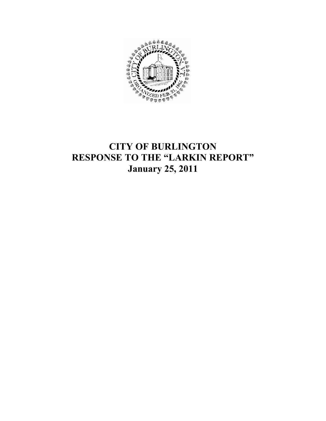

# CITY OF BURLINGTON RESPONSE TO THE "LARKIN REPORT" January 25, 2011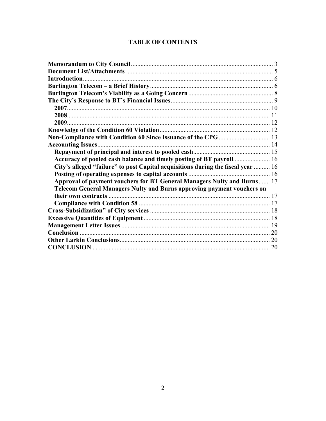# **TABLE OF CONTENTS**

| Non-Compliance with Condition 60 Since Issuance of the CPG  13                   |  |
|----------------------------------------------------------------------------------|--|
|                                                                                  |  |
|                                                                                  |  |
|                                                                                  |  |
| City's alleged "failure" to post Capital acquisitions during the fiscal year  16 |  |
|                                                                                  |  |
| Approval of payment vouchers for BT General Managers Nulty and Burns 17          |  |
| <b>Telecom General Managers Nulty and Burns approving payment vouchers on</b>    |  |
|                                                                                  |  |
|                                                                                  |  |
|                                                                                  |  |
|                                                                                  |  |
|                                                                                  |  |
|                                                                                  |  |
|                                                                                  |  |
|                                                                                  |  |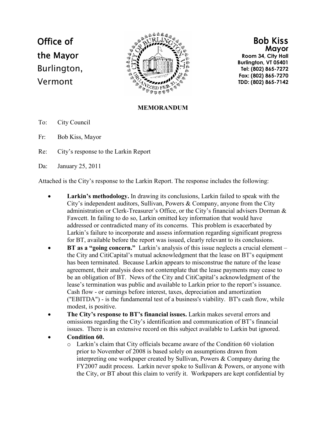# Office of the Mayor Burlington, Vermont



Bob Kiss Mayor Room 34, City Hall Burlington, VT 05401

Tel: (802) 865-7272 Fax: (802) 865-7270 TDD: (802) 865-7142

#### MEMORANDUM

- To: City Council
- Fr: Bob Kiss, Mayor
- Re: City's response to the Larkin Report
- Da: January 25, 2011

Attached is the City's response to the Larkin Report. The response includes the following:

- Larkin's methodology. In drawing its conclusions, Larkin failed to speak with the City's independent auditors, Sullivan, Powers & Company, anyone from the City administration or Clerk-Treasurer's Office, or the City's financial advisers Dorman & Fawcett. In failing to do so, Larkin omitted key information that would have addressed or contradicted many of its concerns. This problem is exacerbated by Larkin's failure to incorporate and assess information regarding significant progress for BT, available before the report was issued, clearly relevant to its conclusions.
- **BT as a "going concern."** Larkin's analysis of this issue neglects a crucial element  $$ the City and CitiCapital's mutual acknowledgment that the lease on BT's equipment has been terminated. Because Larkin appears to misconstrue the nature of the lease agreement, their analysis does not contemplate that the lease payments may cease to be an obligation of BT. News of the City and CitiCapital's acknowledgment of the lease's termination was public and available to Larkin prior to the report's issuance. Cash flow - or earnings before interest, taxes, depreciation and amortization ("EBITDA") - is the fundamental test of a business's viability. BT's cash flow, while modest, is positive.
- The City's response to BT's financial issues. Larkin makes several errors and omissions regarding the City's identification and communication of BT's financial issues. There is an extensive record on this subject available to Larkin but ignored.
- Condition 60.
	- o Larkin's claim that City officials became aware of the Condition 60 violation prior to November of 2008 is based solely on assumptions drawn from interpreting one workpaper created by Sullivan, Powers & Company during the FY2007 audit process. Larkin never spoke to Sullivan & Powers, or anyone with the City, or BT about this claim to verify it. Workpapers are kept confidential by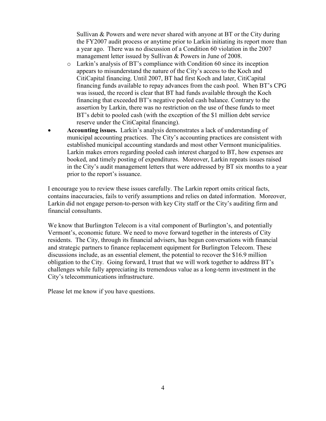Sullivan & Powers and were never shared with anyone at BT or the City during the FY2007 audit process or anytime prior to Larkin initiating its report more than a year ago. There was no discussion of a Condition 60 violation in the 2007 management letter issued by Sullivan & Powers in June of 2008.

- o Larkin's analysis of BT's compliance with Condition 60 since its inception appears to misunderstand the nature of the City's access to the Koch and CitiCapital financing. Until 2007, BT had first Koch and later, CitiCapital financing funds available to repay advances from the cash pool. When BT's CPG was issued, the record is clear that BT had funds available through the Koch financing that exceeded BT's negative pooled cash balance. Contrary to the assertion by Larkin, there was no restriction on the use of these funds to meet BT's debit to pooled cash (with the exception of the \$1 million debt service reserve under the CitiCapital financing).
- Accounting issues. Larkin's analysis demonstrates a lack of understanding of municipal accounting practices. The City's accounting practices are consistent with established municipal accounting standards and most other Vermont municipalities. Larkin makes errors regarding pooled cash interest charged to BT, how expenses are booked, and timely posting of expenditures. Moreover, Larkin repeats issues raised in the City's audit management letters that were addressed by BT six months to a year prior to the report's issuance.

I encourage you to review these issues carefully. The Larkin report omits critical facts, contains inaccuracies, fails to verify assumptions and relies on dated information. Moreover, Larkin did not engage person-to-person with key City staff or the City's auditing firm and financial consultants.

We know that Burlington Telecom is a vital component of Burlington's, and potentially Vermont's, economic future. We need to move forward together in the interests of City residents. The City, through its financial advisers, has begun conversations with financial and strategic partners to finance replacement equipment for Burlington Telecom. These discussions include, as an essential element, the potential to recover the \$16.9 million obligation to the City. Going forward, I trust that we will work together to address BT's challenges while fully appreciating its tremendous value as a long-term investment in the City's telecommunications infrastructure.

Please let me know if you have questions.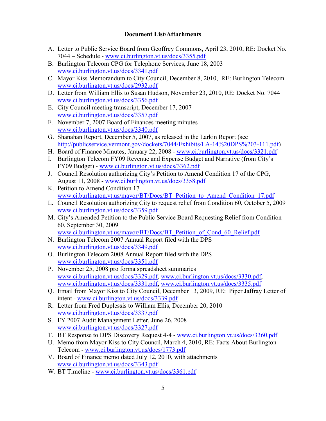#### Document List/Attachments

- A. Letter to Public Service Board from Geoffrey Commons, April 23, 2010, RE: Docket No. 7044 – Schedule - www.ci.burlington.vt.us/docs/3355.pdf
- B. Burlington Telecom CPG for Telephone Services, June 18, 2003 www.ci.burlington.vt.us/docs/3341.pdf
- C. Mayor Kiss Memorandum to City Council, December 8, 2010, RE: Burlington Telecom www.ci.burlington.vt.us/docs/2932.pdf
- D. Letter from William Ellis to Susan Hudson, November 23, 2010, RE: Docket No. 7044 www.ci.burlington.vt.us/docs/3356.pdf
- E. City Council meeting transcript, December 17, 2007 www.ci.burlington.vt.us/docs/3357.pdf
- F. November 7, 2007 Board of Finances meeting minutes www.ci.burlington.vt.us/docs/3340.pdf
- G. Shanahan Report, December 5, 2007, as released in the Larkin Report (see http://publicservice.vermont.gov/dockets/7044/Exhibits/LA-14%20DPS%203-111.pdf)
- H. Board of Finance Minutes, January 22, 2008 www.ci.burlington.vt.us/docs/3321.pdf
- I. Burlington Telecom FY09 Revenue and Expense Budget and Narrative (from City's FY09 Budget) - www.ci.burlington.vt.us/docs/3362.pdf
- J. Council Resolution authorizing City's Petition to Amend Condition 17 of the CPG, August 11, 2008 - www.ci.burlington.vt.us/docs/3358.pdf
- K. Petition to Amend Condition 17 www.ci.burlington.vt.us/mayor/BT/Docs/BT\_Petition\_to\_Amend\_Condition\_17.pdf
- L. Council Resolution authorizing City to request relief from Condition 60, October 5, 2009 www.ci.burlington.vt.us/docs/3359.pdf
- M. City's Amended Petition to the Public Service Board Requesting Relief from Condition 60, September 30, 2009 www.ci.burlington.vt.us/mayor/BT/Docs/BT\_Petition\_of\_Cond\_60\_Relief.pdf
- N. Burlington Telecom 2007 Annual Report filed with the DPS www.ci.burlington.vt.us/docs/3349.pdf
- O. Burlington Telecom 2008 Annual Report filed with the DPS www.ci.burlington.vt.us/docs/3351.pdf
- P. November 25, 2008 pro forma spreadsheet summaries www.ci.burlington.vt.us/docs/3329.pdf, www.ci.burlington.vt.us/docs/3330.pdf, www.ci.burlington.vt.us/docs/3331.pdf, www.ci.burlington.vt.us/docs/3335.pdf
- Q. Email from Mayor Kiss to City Council, December 13, 2009, RE: Piper Jaffray Letter of intent - www.ci.burlington.vt.us/docs/3339.pdf
- R. Letter from Fred Duplessis to William Ellis, December 20, 2010 www.ci.burlington.vt.us/docs/3337.pdf
- S. FY 2007 Audit Management Letter, June 26, 2008 www.ci.burlington.vt.us/docs/3327.pdf
- T. BT Response to DPS Discovery Request 4-4 www.ci.burlington.vt.us/docs/3360.pdf
- U. Memo from Mayor Kiss to City Council, March 4, 2010, RE: Facts About Burlington Telecom - www.ci.burlington.vt.us/docs/1773.pdf
- V. Board of Finance memo dated July 12, 2010, with attachments www.ci.burlington.vt.us/docs/3343.pdf
- W. BT Timeline www.ci.burlington.vt.us/docs/3361.pdf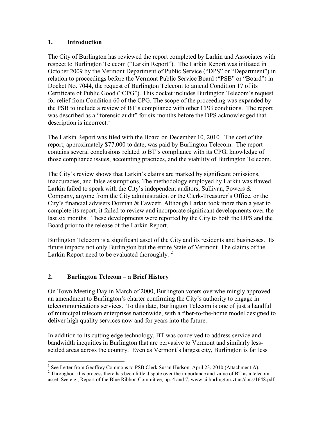#### 1. Introduction

The City of Burlington has reviewed the report completed by Larkin and Associates with respect to Burlington Telecom ("Larkin Report"). The Larkin Report was initiated in October 2009 by the Vermont Department of Public Service ("DPS" or "Department") in relation to proceedings before the Vermont Public Service Board ("PSB" or "Board") in Docket No. 7044, the request of Burlington Telecom to amend Condition 17 of its Certificate of Public Good ("CPG"). This docket includes Burlington Telecom's request for relief from Condition 60 of the CPG. The scope of the proceeding was expanded by the PSB to include a review of BT's compliance with other CPG conditions. The report was described as a "forensic audit" for six months before the DPS acknowledged that description is incorrect.<sup>1</sup>

The Larkin Report was filed with the Board on December 10, 2010. The cost of the report, approximately \$77,000 to date, was paid by Burlington Telecom. The report contains several conclusions related to BT's compliance with its CPG, knowledge of those compliance issues, accounting practices, and the viability of Burlington Telecom.

The City's review shows that Larkin's claims are marked by significant omissions, inaccuracies, and false assumptions. The methodology employed by Larkin was flawed. Larkin failed to speak with the City's independent auditors, Sullivan, Powers & Company, anyone from the City administration or the Clerk-Treasurer's Office, or the City's financial advisers Dorman & Fawcett. Although Larkin took more than a year to complete its report, it failed to review and incorporate significant developments over the last six months. These developments were reported by the City to both the DPS and the Board prior to the release of the Larkin Report.

Burlington Telecom is a significant asset of the City and its residents and businesses. Its future impacts not only Burlington but the entire State of Vermont. The claims of the Larkin Report need to be evaluated thoroughly.<sup>2</sup>

#### 2. Burlington Telecom – a Brief History

On Town Meeting Day in March of 2000, Burlington voters overwhelmingly approved an amendment to Burlington's charter confirming the City's authority to engage in telecommunications services. To this date, Burlington Telecom is one of just a handful of municipal telecom enterprises nationwide, with a fiber-to-the-home model designed to deliver high quality services now and for years into the future.

In addition to its cutting edge technology, BT was conceived to address service and bandwidth inequities in Burlington that are pervasive to Vermont and similarly lesssettled areas across the country. Even as Vermont's largest city, Burlington is far less

<sup>&</sup>lt;sup>1</sup> See Letter from Geoffrey Commons to PSB Clerk Susan Hudson, April 23, 2010 (Attachment A).

 $2^{2}$  Throughout this process there has been little dispute over the importance and value of BT as a telecom asset. See e.g., Report of the Blue Ribbon Committee, pp. 4 and 7, www.ci.burlington.vt.us/docs/1648.pdf.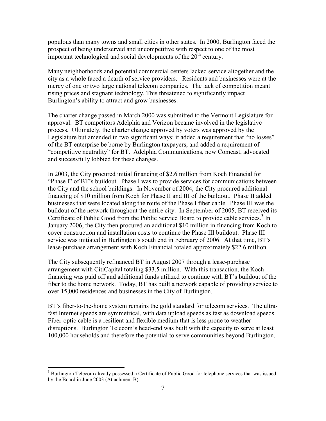populous than many towns and small cities in other states. In 2000, Burlington faced the prospect of being underserved and uncompetitive with respect to one of the most important technological and social developments of the  $20<sup>th</sup>$  century.

Many neighborhoods and potential commercial centers lacked service altogether and the city as a whole faced a dearth of service providers. Residents and businesses were at the mercy of one or two large national telecom companies. The lack of competition meant rising prices and stagnant technology. This threatened to significantly impact Burlington's ability to attract and grow businesses.

The charter change passed in March 2000 was submitted to the Vermont Legislature for approval. BT competitors Adelphia and Verizon became involved in the legislative process. Ultimately, the charter change approved by voters was approved by the Legislature but amended in two significant ways: it added a requirement that "no losses" of the BT enterprise be borne by Burlington taxpayers, and added a requirement of "competitive neutrality" for BT. Adelphia Communications, now Comcast, advocated and successfully lobbied for these changes.

In 2003, the City procured initial financing of \$2.6 million from Koch Financial for "Phase I" of BT's buildout. Phase I was to provide services for communications between the City and the school buildings. In November of 2004, the City procured additional financing of \$10 million from Koch for Phase II and III of the buildout. Phase II added businesses that were located along the route of the Phase I fiber cable. Phase III was the buildout of the network throughout the entire city. In September of 2005, BT received its Certificate of Public Good from the Public Service Board to provide cable services.<sup>3</sup> In January 2006, the City then procured an additional \$10 million in financing from Koch to cover construction and installation costs to continue the Phase III buildout. Phase III service was initiated in Burlington's south end in February of 2006. At that time, BT's lease-purchase arrangement with Koch Financial totaled approximately \$22.6 million.

The City subsequently refinanced BT in August 2007 through a lease-purchase arrangement with CitiCapital totaling \$33.5 million. With this transaction, the Koch financing was paid off and additional funds utilized to continue with BT's buildout of the fiber to the home network. Today, BT has built a network capable of providing service to over 15,000 residences and businesses in the City of Burlington.

BT's fiber-to-the-home system remains the gold standard for telecom services. The ultrafast Internet speeds are symmetrical, with data upload speeds as fast as download speeds. Fiber-optic cable is a resilient and flexible medium that is less prone to weather disruptions. Burlington Telecom's head-end was built with the capacity to serve at least 100,000 households and therefore the potential to serve communities beyond Burlington.

<sup>&</sup>lt;sup>3</sup> Burlington Telecom already possessed a Certificate of Public Good for telephone services that was issued by the Board in June 2003 (Attachment B).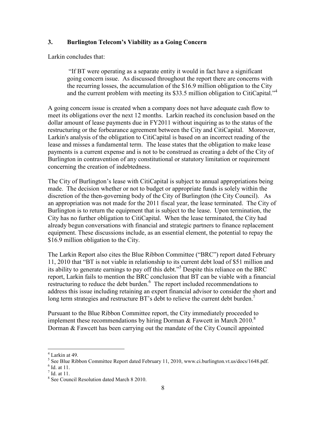#### 3. Burlington Telecom's Viability as a Going Concern

Larkin concludes that:

"If BT were operating as a separate entity it would in fact have a significant going concern issue. As discussed throughout the report there are concerns with the recurring losses, the accumulation of the \$16.9 million obligation to the City and the current problem with meeting its \$33.5 million obligation to CitiCapital."<sup>4</sup>

A going concern issue is created when a company does not have adequate cash flow to meet its obligations over the next 12 months. Larkin reached its conclusion based on the dollar amount of lease payments due in FY2011 without inquiring as to the status of the restructuring or the forbearance agreement between the City and CitiCapital. Moreover, Larkin's analysis of the obligation to CitiCapital is based on an incorrect reading of the lease and misses a fundamental term. The lease states that the obligation to make lease payments is a current expense and is not to be construed as creating a debt of the City of Burlington in contravention of any constitutional or statutory limitation or requirement concerning the creation of indebtedness.

The City of Burlington's lease with CitiCapital is subject to annual appropriations being made. The decision whether or not to budget or appropriate funds is solely within the discretion of the then-governing body of the City of Burlington (the City Council). As an appropriation was not made for the 2011 fiscal year, the lease terminated. The City of Burlington is to return the equipment that is subject to the lease. Upon termination, the City has no further obligation to CitiCapital. When the lease terminated, the City had already begun conversations with financial and strategic partners to finance replacement equipment. These discussions include, as an essential element, the potential to repay the \$16.9 million obligation to the City.

The Larkin Report also cites the Blue Ribbon Committee ("BRC") report dated February 11, 2010 that "BT is not viable in relationship to its current debt load of \$51 million and its ability to generate earnings to pay off this debt."<sup>5</sup> Despite this reliance on the BRC report, Larkin fails to mention the BRC conclusion that BT can be viable with a financial restructuring to reduce the debt burden.<sup>6</sup> The report included recommendations to address this issue including retaining an expert financial advisor to consider the short and long term strategies and restructure BT's debt to relieve the current debt burden.<sup>7</sup>

Pursuant to the Blue Ribbon Committee report, the City immediately proceeded to implement these recommendations by hiring Dorman  $\&$  Fawcett in March 2010.<sup>8</sup> Dorman & Fawcett has been carrying out the mandate of the City Council appointed

 4 Larkin at 49.

<sup>&</sup>lt;sup>5</sup> See Blue Ribbon Committee Report dated February 11, 2010, www.ci.burlington.vt.us/docs/1648.pdf.

<sup>6</sup> Id. at 11.

 $<sup>7</sup>$  Id. at 11.</sup>

<sup>8</sup> See Council Resolution dated March 8 2010.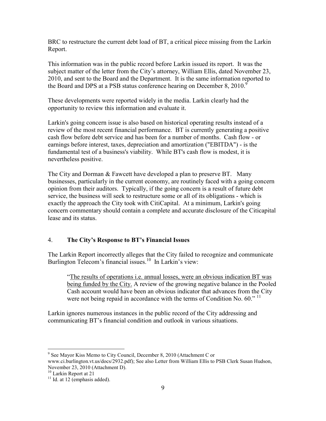BRC to restructure the current debt load of BT, a critical piece missing from the Larkin Report.

This information was in the public record before Larkin issued its report. It was the subject matter of the letter from the City's attorney, William Ellis, dated November 23, 2010, and sent to the Board and the Department. It is the same information reported to the Board and DPS at a PSB status conference hearing on December 8,  $2010<sup>9</sup>$ 

These developments were reported widely in the media. Larkin clearly had the opportunity to review this information and evaluate it.

Larkin's going concern issue is also based on historical operating results instead of a review of the most recent financial performance. BT is currently generating a positive cash flow before debt service and has been for a number of months. Cash flow - or earnings before interest, taxes, depreciation and amortization ("EBITDA") - is the fundamental test of a business's viability. While BT's cash flow is modest, it is nevertheless positive.

The City and Dorman & Fawcett have developed a plan to preserve BT. Many businesses, particularly in the current economy, are routinely faced with a going concern opinion from their auditors. Typically, if the going concern is a result of future debt service, the business will seek to restructure some or all of its obligations - which is exactly the approach the City took with CitiCapital. At a minimum, Larkin's going concern commentary should contain a complete and accurate disclosure of the Citicapital lease and its status.

## 4. The City's Response to BT's Financial Issues

The Larkin Report incorrectly alleges that the City failed to recognize and communicate Burlington Telecom's financial issues.<sup>10</sup> In Larkin's view:

"The results of operations i.e. annual losses, were an obvious indication BT was being funded by the City. A review of the growing negative balance in the Pooled Cash account would have been an obvious indicator that advances from the City were not being repaid in accordance with the terms of Condition No. 60."  $^{11}$ 

Larkin ignores numerous instances in the public record of the City addressing and communicating BT's financial condition and outlook in various situations.

 9 See Mayor Kiss Memo to City Council, December 8, 2010 (Attachment C or www.ci.burlington.vt.us/docs/2932.pdf); See also Letter from William Ellis to PSB Clerk Susan Hudson, November 23, 2010 (Attachment D).

<sup>&</sup>lt;sup>10</sup> Larkin Report at 21

 $11$  Id. at 12 (emphasis added).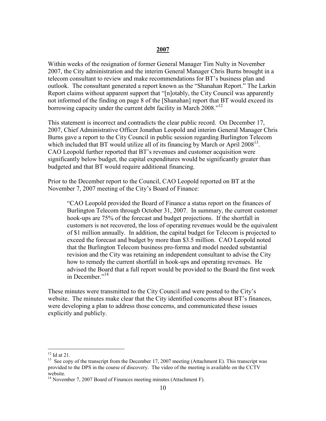#### 2007

Within weeks of the resignation of former General Manager Tim Nulty in November 2007, the City administration and the interim General Manager Chris Burns brought in a telecom consultant to review and make recommendations for BT's business plan and outlook. The consultant generated a report known as the "Shanahan Report." The Larkin Report claims without apparent support that "[n]otably, the City Council was apparently not informed of the finding on page 8 of the [Shanahan] report that BT would exceed its borrowing capacity under the current debt facility in March 2008."<sup>12</sup>

This statement is incorrect and contradicts the clear public record. On December 17, 2007, Chief Administrative Officer Jonathan Leopold and interim General Manager Chris Burns gave a report to the City Council in public session regarding Burlington Telecom which included that BT would utilize all of its financing by March or April 2008<sup>13</sup>. CAO Leopold further reported that BT's revenues and customer acquisition were significantly below budget, the capital expenditures would be significantly greater than budgeted and that BT would require additional financing.

Prior to the December report to the Council, CAO Leopold reported on BT at the November 7, 2007 meeting of the City's Board of Finance:

"CAO Leopold provided the Board of Finance a status report on the finances of Burlington Telecom through October 31, 2007. In summary, the current customer hook-ups are 75% of the forecast and budget projections. If the shortfall in customers is not recovered, the loss of operating revenues would be the equivalent of \$1 million annually. In addition, the capital budget for Telecom is projected to exceed the forecast and budget by more than \$3.5 million. CAO Leopold noted that the Burlington Telecom business pro-forma and model needed substantial revision and the City was retaining an independent consultant to advise the City how to remedy the current shortfall in hook-ups and operating revenues. He advised the Board that a full report would be provided to the Board the first week in December." $14$ 

These minutes were transmitted to the City Council and were posted to the City's website. The minutes make clear that the City identified concerns about BT's finances, were developing a plan to address those concerns, and communicated these issues explicitly and publicly.

 $12$  Id at 21.

<sup>&</sup>lt;sup>13</sup> See copy of the transcript from the December 17, 2007 meeting (Attachment E). This transcript was provided to the DPS in the course of discovery. The video of the meeting is available on the CCTV website.

<sup>&</sup>lt;sup>14</sup> November 7, 2007 Board of Finances meeting minutes (Attachment F).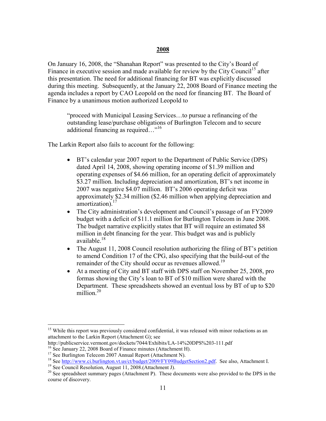#### 2008

On January 16, 2008, the "Shanahan Report" was presented to the City's Board of Finance in executive session and made available for review by the City Council<sup>15</sup> after this presentation. The need for additional financing for BT was explicitly discussed during this meeting. Subsequently, at the January 22, 2008 Board of Finance meeting the agenda includes a report by CAO Leopold on the need for financing BT. The Board of Finance by a unanimous motion authorized Leopold to

"proceed with Municipal Leasing Services…to pursue a refinancing of the outstanding lease/purchase obligations of Burlington Telecom and to secure additional financing as required…"<sup>16</sup>

The Larkin Report also fails to account for the following:

- BT's calendar year 2007 report to the Department of Public Service (DPS) dated April 14, 2008, showing operating income of \$1.39 million and operating expenses of \$4.66 million, for an operating deficit of approximately \$3.27 million. Including depreciation and amortization, BT's net income in 2007 was negative \$4.07 million. BT's 2006 operating deficit was approximately \$2.34 million (\$2.46 million when applying depreciation and amortization).<sup>17</sup>
- The City administration's development and Council's passage of an FY2009 budget with a deficit of \$11.1 million for Burlington Telecom in June 2008. The budget narrative explicitly states that BT will require an estimated \$8 million in debt financing for the year. This budget was and is publicly available $^{18}$
- The August 11, 2008 Council resolution authorizing the filing of BT's petition to amend Condition 17 of the CPG, also specifying that the build-out of the remainder of the City should occur as revenues allowed.<sup>19</sup>
- At a meeting of City and BT staff with DPS staff on November 25, 2008, pro formas showing the City's loan to BT of \$10 million were shared with the Department. These spreadsheets showed an eventual loss by BT of up to \$20 million.<sup>20</sup>

<sup>&</sup>lt;sup>15</sup> While this report was previously considered confidential, it was released with minor redactions as an attachment to the Larkin Report (Attachment G); see

http://publicservice.vermont.gov/dockets/7044/Exhibits/LA-14%20DPS%203-111.pdf

<sup>&</sup>lt;sup>16</sup> See January 22, 2008 Board of Finance minutes (Attachment H).

<sup>&</sup>lt;sup>17</sup> See Burlington Telecom 2007 Annual Report (Attachment N).

<sup>&</sup>lt;sup>18</sup> See http://www.ci.burlington.vt.us/ct/budget/2009/FY09BudgetSection2.pdf. See also, Attachment I.

<sup>19</sup> See Council Resolution, August 11, 2008.(Attachment J).

<sup>&</sup>lt;sup>20</sup> See spreadsheet summary pages (Attachment P). These documents were also provided to the DPS in the course of discovery.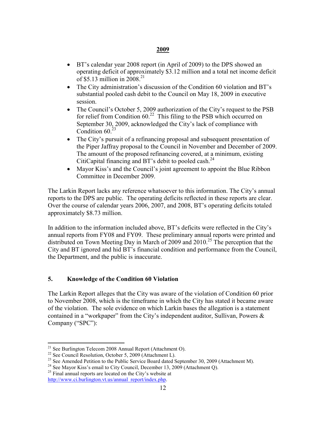#### 2009

- BT's calendar year 2008 report (in April of 2009) to the DPS showed an operating deficit of approximately \$3.12 million and a total net income deficit of \$5.13 million in 2008.<sup>21</sup>
- The City administration's discussion of the Condition 60 violation and BT's substantial pooled cash debit to the Council on May 18, 2009 in executive session.
- The Council's October 5, 2009 authorization of the City's request to the PSB for relief from Condition  $60<sup>22</sup>$  This filing to the PSB which occurred on September 30, 2009, acknowledged the City's lack of compliance with Condition  $60^{23}$
- The City's pursuit of a refinancing proposal and subsequent presentation of the Piper Jaffray proposal to the Council in November and December of 2009. The amount of the proposed refinancing covered, at a minimum, existing CitiCapital financing and BT's debit to pooled cash.<sup>24</sup>
- Mayor Kiss's and the Council's joint agreement to appoint the Blue Ribbon Committee in December 2009.

The Larkin Report lacks any reference whatsoever to this information. The City's annual reports to the DPS are public. The operating deficits reflected in these reports are clear. Over the course of calendar years 2006, 2007, and 2008, BT's operating deficits totaled approximately \$8.73 million.

In addition to the information included above, BT's deficits were reflected in the City's annual reports from FY08 and FY09. These preliminary annual reports were printed and distributed on Town Meeting Day in March of 2009 and  $2010^{25}$  The perception that the City and BT ignored and hid BT's financial condition and performance from the Council, the Department, and the public is inaccurate.

#### 5. Knowledge of the Condition 60 Violation

The Larkin Report alleges that the City was aware of the violation of Condition 60 prior to November 2008, which is the timeframe in which the City has stated it became aware of the violation. The sole evidence on which Larkin bases the allegation is a statement contained in a "workpaper" from the City's independent auditor, Sullivan, Powers & Company ("SPC"):

 $\overline{a}$  $21$  See Burlington Telecom 2008 Annual Report (Attachment O).

<sup>&</sup>lt;sup>22</sup> See Council Resolution, October 5, 2009 (Attachment L).

<sup>&</sup>lt;sup>23</sup> See Amended Petition to the Public Service Board dated September 30, 2009 (Attachment M).

<sup>&</sup>lt;sup>24</sup> See Mayor Kiss's email to City Council, December 13, 2009 (Attachment Q).

 $25$  Final annual reports are located on the City's website at http://www.ci.burlington.vt.us/annual\_report/index.php.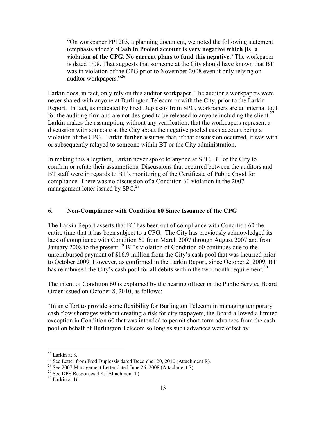"On workpaper PP1203, a planning document, we noted the following statement (emphasis added): 'Cash in Pooled account is very negative which [is] a violation of the CPG. No current plans to fund this negative.' The workpaper is dated 1/08. That suggests that someone at the City should have known that BT was in violation of the CPG prior to November 2008 even if only relying on auditor workpapers."<sup>26</sup>

Larkin does, in fact, only rely on this auditor workpaper. The auditor's workpapers were never shared with anyone at Burlington Telecom or with the City, prior to the Larkin Report. In fact, as indicated by Fred Duplessis from SPC, workpapers are an internal tool for the auditing firm and are not designed to be released to anyone including the client.<sup>27</sup> Larkin makes the assumption, without any verification, that the workpapers represent a discussion with someone at the City about the negative pooled cash account being a violation of the CPG. Larkin further assumes that, if that discussion occurred, it was with or subsequently relayed to someone within BT or the City administration.

In making this allegation, Larkin never spoke to anyone at SPC, BT or the City to confirm or refute their assumptions. Discussions that occurred between the auditors and BT staff were in regards to BT's monitoring of the Certificate of Public Good for compliance. There was no discussion of a Condition 60 violation in the 2007 management letter issued by SPC.<sup>28</sup>

#### 6. Non-Compliance with Condition 60 Since Issuance of the CPG

The Larkin Report asserts that BT has been out of compliance with Condition 60 the entire time that it has been subject to a CPG. The City has previously acknowledged its lack of compliance with Condition 60 from March 2007 through August 2007 and from January 2008 to the present.<sup>29</sup> BT's violation of Condition 60 continues due to the unreimbursed payment of \$16.9 million from the City's cash pool that was incurred prior to October 2009. However, as confirmed in the Larkin Report, since October 2, 2009, BT has reimbursed the City's cash pool for all debits within the two month requirement.<sup>30</sup>

The intent of Condition 60 is explained by the hearing officer in the Public Service Board Order issued on October 8, 2010, as follows:

"In an effort to provide some flexibility for Burlington Telecom in managing temporary cash flow shortages without creating a risk for city taxpayers, the Board allowed a limited exception in Condition 60 that was intended to permit short-term advances from the cash pool on behalf of Burlington Telecom so long as such advances were offset by

 $26$  Larkin at 8.

<sup>&</sup>lt;sup>27</sup> See Letter from Fred Duplessis dated December 20, 2010 (Attachment R).

 $28$  See 2007 Management Letter dated June 26, 2008 (Attachment S).

 $29$  See DPS Responses 4-4. (Attachment T)

<sup>&</sup>lt;sup>30</sup> Larkin at 16.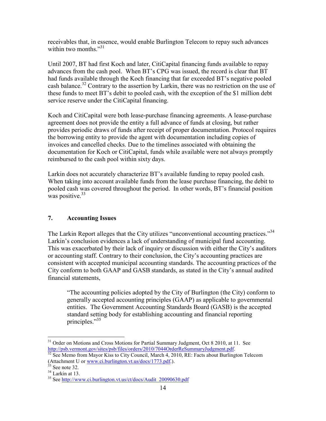receivables that, in essence, would enable Burlington Telecom to repay such advances within two months  $\frac{1}{3}$ 

Until 2007, BT had first Koch and later, CitiCapital financing funds available to repay advances from the cash pool. When BT's CPG was issued, the record is clear that BT had funds available through the Koch financing that far exceeded BT's negative pooled cash balance.<sup>32</sup> Contrary to the assertion by Larkin, there was no restriction on the use of these funds to meet BT's debit to pooled cash, with the exception of the \$1 million debt service reserve under the CitiCapital financing.

Koch and CitiCapital were both lease-purchase financing agreements. A lease-purchase agreement does not provide the entity a full advance of funds at closing, but rather provides periodic draws of funds after receipt of proper documentation. Protocol requires the borrowing entity to provide the agent with documentation including copies of invoices and cancelled checks. Due to the timelines associated with obtaining the documentation for Koch or CitiCapital, funds while available were not always promptly reimbursed to the cash pool within sixty days.

Larkin does not accurately characterize BT's available funding to repay pooled cash. When taking into account available funds from the lease purchase financing, the debit to pooled cash was covered throughout the period. In other words, BT's financial position was positive.<sup>33</sup>

#### 7. Accounting Issues

The Larkin Report alleges that the City utilizes "unconventional accounting practices."<sup>34</sup> Larkin's conclusion evidences a lack of understanding of municipal fund accounting. This was exacerbated by their lack of inquiry or discussion with either the City's auditors or accounting staff. Contrary to their conclusion, the City's accounting practices are consistent with accepted municipal accounting standards. The accounting practices of the City conform to both GAAP and GASB standards, as stated in the City's annual audited financial statements,

"The accounting policies adopted by the City of Burlington (the City) conform to generally accepted accounting principles (GAAP) as applicable to governmental entities. The Government Accounting Standards Board (GASB) is the accepted standard setting body for establishing accounting and financial reporting principles."<sup>35</sup>

<sup>&</sup>lt;sup>31</sup> Order on Motions and Cross Motions for Partial Summary Judgment, Oct 8 2010, at 11. See http://psb.vermont.gov/sites/psb/files/orders/2010/7044OrderReSummaryJudgment.pdf.

 $\frac{32}{32}$  See Memo from Mayor Kiss to City Council, March 4, 2010, RE: Facts about Burlington Telecom (Attachment U or www.ci.burlington.vt.us/docs/1773.pdf.).

 $33$  See note 32.

 $34$  Larkin at 13.

 $35$  See http://www.ci.burlington.vt.us/ct/docs/Audit\_20090630.pdf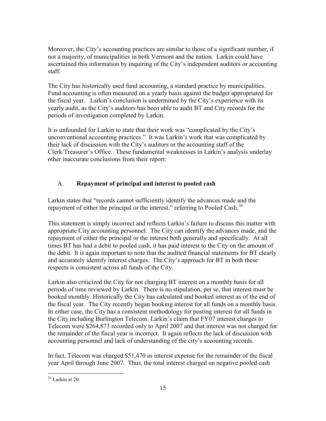Moreover, the City's accounting practices are similar to those of a significant number, if not a majority, of municipalities in both Vermont and the nation. Larkin could have ascertained this information by inquiring of the City's independent auditors or accounting staff.

The City has historically used fund accounting, a standard practice by municipalities. Fund accounting is often measured on a yearly basis against the budget appropriated for the fiscal year. Larkin's conclusion is undermined by the City's experience with its yearly audit, as the City's auditors has been able to audit BT and City records for the periods of investigation completed by Larkin.

It is unfounded for Larkin to state that their work was "complicated by the City's unconventional accounting practices." It was Larkin's work that was complicated by their lack of discussion with the City's auditors or the accounting staff of the Clerk/Treasurer's Office. These fundamental weaknesses in Larkin's analysis underlay other inaccurate conclusions from their report:

## A. Repayment of principal and interest to pooled cash

Larkin states that "records cannot sufficiently identify the advances made and the repayment of either the principal or the interest." referring to Pooled Cash.<sup>36</sup>

This statement is simply incorrect and reflects Larkin's failure to discuss this matter with appropriate City accounting personnel. The City can identify the advances made, and the repayment of either the principal or the interest both generally and specifically. At all times BT has had a debit to pooled cash, it has paid interest to the City on the amount of the debit. It is again important to note that the audited financial statements for BT clearly and accurately identify interest charges. The City's approach for BT in both these respects is consistent across all funds of the City.

Larkin also criticized the City for not charging BT interest on a monthly basis for all periods of time reviewed by Larkin. There is no stipulation, per se, that interest must be booked monthly. Historically the City has calculated and booked interest as of the end of the fiscal year. The City recently began booking interest for all funds on a monthly basis. In either case, the City has a consistent methodology for posting interest for all funds in the City including Burlington Telecom. Larkin's claim that FY07 interest charges to Telecom were \$264,873 recorded only to April 2007 and that interest was not charged for the remainder of the fiscal year is incorrect. It again reflects the lack of discussion with accounting personnel and lack of understanding of the city's accounting records.

In fact, Telecom was charged \$51,470 as interest expense for the remainder of the fiscal year April through June 2007. Thus, the total interest charged on negative pooled cash

<sup>&</sup>lt;u>.</u>  $36$  Larkin at 20.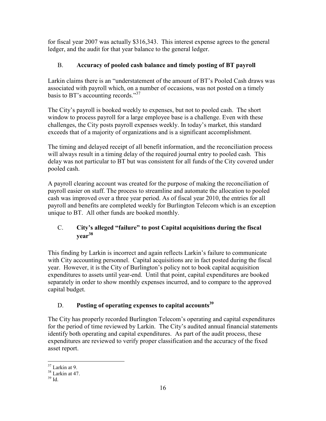for fiscal year 2007 was actually \$316,343. This interest expense agrees to the general ledger, and the audit for that year balance to the general ledger.

# B. Accuracy of pooled cash balance and timely posting of BT payroll

Larkin claims there is an "understatement of the amount of BT's Pooled Cash draws was associated with payroll which, on a number of occasions, was not posted on a timely basis to BT's accounting records."<sup>37</sup>

The City's payroll is booked weekly to expenses, but not to pooled cash. The short window to process payroll for a large employee base is a challenge. Even with these challenges, the City posts payroll expenses weekly. In today's market, this standard exceeds that of a majority of organizations and is a significant accomplishment.

The timing and delayed receipt of all benefit information, and the reconciliation process will always result in a timing delay of the required journal entry to pooled cash. This delay was not particular to BT but was consistent for all funds of the City covered under pooled cash.

A payroll clearing account was created for the purpose of making the reconciliation of payroll easier on staff. The process to streamline and automate the allocation to pooled cash was improved over a three year period. As of fiscal year 2010, the entries for all payroll and benefits are completed weekly for Burlington Telecom which is an exception unique to BT. All other funds are booked monthly.

# C. City's alleged "failure" to post Capital acquisitions during the fiscal year<sup>38</sup>

This finding by Larkin is incorrect and again reflects Larkin's failure to communicate with City accounting personnel. Capital acquisitions are in fact posted during the fiscal year. However, it is the City of Burlington's policy not to book capital acquisition expenditures to assets until year-end. Until that point, capital expenditures are booked separately in order to show monthly expenses incurred, and to compare to the approved capital budget.

# D. Posting of operating expenses to capital accounts<sup>39</sup>

The City has properly recorded Burlington Telecom's operating and capital expenditures for the period of time reviewed by Larkin. The City's audited annual financial statements identify both operating and capital expenditures. As part of the audit process, these expenditures are reviewed to verify proper classification and the accuracy of the fixed asset report.

 $\overline{a}$  $37$  Larkin at 9.

 $38$  Larkin at 47.

 $39$  Id.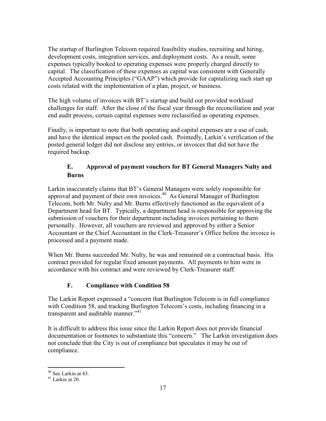The startup of Burlington Telecom required feasibility studies, recruiting and hiring, development costs, integration services, and deployment costs. As a result, some expenses typically booked to operating expenses were properly charged directly to capital. The classification of these expenses as capital was consistent with Generally Accepted Accounting Principles ("GAAP") which provide for capitalizing such start up costs related with the implementation of a plan, project, or business.

The high volume of invoices with BT's startup and build out provided workload challenges for staff. After the close of the fiscal year through the reconciliation and year end audit process, certain capital expenses were reclassified as operating expenses.

Finally, is important to note that both operating and capital expenses are a use of cash, and have the identical impact on the pooled cash. Pointedly, Larkin's verification of the posted general ledger did not disclose any entries, or invoices that did not have the required backup.

## E. Approval of payment vouchers for BT General Managers Nulty and Burns

Larkin inaccurately claims that BT's General Managers were solely responsible for approval and payment of their own invoices.<sup>40</sup> As General Manager of Burlington Telecom, both Mr. Nulty and Mr. Burns effectively functioned as the equivalent of a Department head for BT. Typically, a department head is responsible for approving the submission of vouchers for their department including invoices pertaining to them personally. However, all vouchers are reviewed and approved by either a Senior Accountant or the Chief Accountant in the Clerk-Treasurer's Office before the invoice is processed and a payment made.

When Mr. Burns succeeded Mr. Nulty, he was and remained on a contractual basis. His contract provided for regular fixed amount payments. All payments to him were in accordance with his contract and were reviewed by Clerk-Treasurer staff.

# F. Compliance with Condition 58

The Larkin Report expressed a "concern that Burlington Telecom is in full compliance with Condition 58, and tracking Burlington Telecom's costs, including financing in a transparent and auditable manner."<sup>41</sup>

It is difficult to address this issue since the Larkin Report does not provide financial documentation or footnotes to substantiate this "concern." The Larkin investigation does not conclude that the City is out of compliance but speculates it may be out of compliance.

<sup>&</sup>lt;u>.</u> <sup>40</sup> See Larkin at 43.

 $41$  Larkin at 20.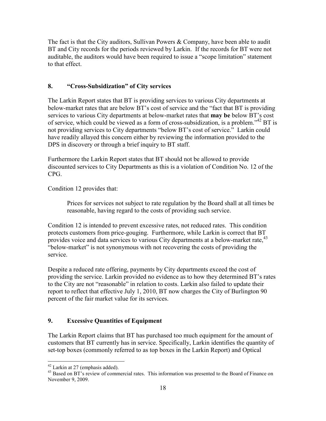The fact is that the City auditors, Sullivan Powers & Company, have been able to audit BT and City records for the periods reviewed by Larkin. If the records for BT were not auditable, the auditors would have been required to issue a "scope limitation" statement to that effect.

#### 8. "Cross-Subsidization" of City services

The Larkin Report states that BT is providing services to various City departments at below-market rates that are below BT's cost of service and the "fact that BT is providing services to various City departments at below-market rates that **may be** below BT's cost of service, which could be viewed as a form of cross-subsidization, is a problem."<sup>42</sup> BT is not providing services to City departments "below BT's cost of service." Larkin could have readily allayed this concern either by reviewing the information provided to the DPS in discovery or through a brief inquiry to BT staff.

Furthermore the Larkin Report states that BT should not be allowed to provide discounted services to City Departments as this is a violation of Condition No. 12 of the CPG.

Condition 12 provides that:

Prices for services not subject to rate regulation by the Board shall at all times be reasonable, having regard to the costs of providing such service.

Condition 12 is intended to prevent excessive rates, not reduced rates. This condition protects customers from price-gouging. Furthermore, while Larkin is correct that BT provides voice and data services to various City departments at a below-market rate, <sup>43</sup> "below-market" is not synonymous with not recovering the costs of providing the service.

Despite a reduced rate offering, payments by City departments exceed the cost of providing the service. Larkin provided no evidence as to how they determined BT's rates to the City are not "reasonable" in relation to costs. Larkin also failed to update their report to reflect that effective July 1, 2010, BT now charges the City of Burlington 90 percent of the fair market value for its services.

## 9. Excessive Quantities of Equipment

The Larkin Report claims that BT has purchased too much equipment for the amount of customers that BT currently has in service. Specifically, Larkin identifies the quantity of set-top boxes (commonly referred to as top boxes in the Larkin Report) and Optical

 $\overline{a}$  $42$  Larkin at 27 (emphasis added).

 $^{43}$  Based on BT's review of commercial rates. This information was presented to the Board of Finance on November 9, 2009.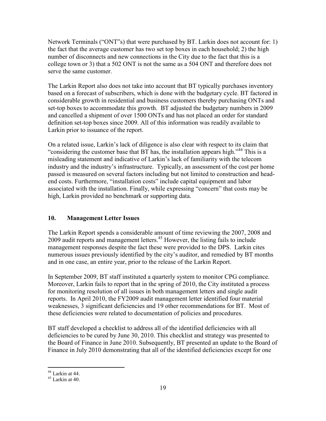Network Terminals ("ONT"s) that were purchased by BT. Larkin does not account for: 1) the fact that the average customer has two set top boxes in each household; 2) the high number of disconnects and new connections in the City due to the fact that this is a college town or 3) that a 502 ONT is not the same as a 504 ONT and therefore does not serve the same customer.

The Larkin Report also does not take into account that BT typically purchases inventory based on a forecast of subscribers, which is done with the budgetary cycle. BT factored in considerable growth in residential and business customers thereby purchasing ONTs and set-top boxes to accommodate this growth. BT adjusted the budgetary numbers in 2009 and cancelled a shipment of over 1500 ONTs and has not placed an order for standard definition set-top boxes since 2009. All of this information was readily available to Larkin prior to issuance of the report.

On a related issue, Larkin's lack of diligence is also clear with respect to its claim that "considering the customer base that BT has, the installation appears high."<sup>44</sup> This is a misleading statement and indicative of Larkin's lack of familiarity with the telecom industry and the industry's infrastructure. Typically, an assessment of the cost per home passed is measured on several factors including but not limited to construction and headend costs. Furthermore, "installation costs" include capital equipment and labor associated with the installation. Finally, while expressing "concern" that costs may be high, Larkin provided no benchmark or supporting data.

## 10. Management Letter Issues

The Larkin Report spends a considerable amount of time reviewing the 2007, 2008 and 2009 audit reports and management letters.<sup>45</sup> However, the listing fails to include management responses despite the fact these were provided to the DPS. Larkin cites numerous issues previously identified by the city's auditor, and remedied by BT months and in one case, an entire year, prior to the release of the Larkin Report.

In September 2009, BT staff instituted a quarterly system to monitor CPG compliance. Moreover, Larkin fails to report that in the spring of 2010, the City instituted a process for monitoring resolution of all issues in both management letters and single audit reports. In April 2010, the FY2009 audit management letter identified four material weaknesses, 3 significant deficiencies and 19 other recommendations for BT. Most of these deficiencies were related to documentation of policies and procedures.

BT staff developed a checklist to address all of the identified deficiencies with all deficiencies to be cured by June 30, 2010. This checklist and strategy was presented to the Board of Finance in June 2010. Subsequently, BT presented an update to the Board of Finance in July 2010 demonstrating that all of the identified deficiencies except for one

 $44$  Larkin at 44.

 $45$  Larkin at 40.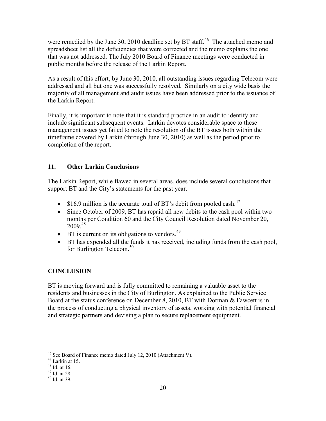were remedied by the June 30, 2010 deadline set by BT staff.<sup>46</sup> The attached memo and spreadsheet list all the deficiencies that were corrected and the memo explains the one that was not addressed. The July 2010 Board of Finance meetings were conducted in public months before the release of the Larkin Report.

As a result of this effort, by June 30, 2010, all outstanding issues regarding Telecom were addressed and all but one was successfully resolved. Similarly on a city wide basis the majority of all management and audit issues have been addressed prior to the issuance of the Larkin Report.

Finally, it is important to note that it is standard practice in an audit to identify and include significant subsequent events. Larkin devotes considerable space to these management issues yet failed to note the resolution of the BT issues both within the timeframe covered by Larkin (through June 30, 2010) as well as the period prior to completion of the report.

#### 11. Other Larkin Conclusions

The Larkin Report, while flawed in several areas, does include several conclusions that support BT and the City's statements for the past year.

- \$16.9 million is the accurate total of BT's debit from pooled cash.<sup>47</sup>
- Since October of 2009, BT has repaid all new debits to the cash pool within two months per Condition 60 and the City Council Resolution dated November 20, 2009.<sup>48</sup>
- BT is current on its obligations to vendors. $49$
- BT has expended all the funds it has received, including funds from the cash pool, for Burlington Telecom.<sup>50</sup>

## **CONCLUSION**

BT is moving forward and is fully committed to remaining a valuable asset to the residents and businesses in the City of Burlington. As explained to the Public Service Board at the status conference on December 8, 2010, BT with Dorman & Fawcett is in the process of conducting a physical inventory of assets, working with potential financial and strategic partners and devising a plan to secure replacement equipment.

 $\overline{a}$  $46$  See Board of Finance memo dated July 12, 2010 (Attachment V).

<sup>47</sup> Larkin at 15.

 $48$  Id. at 16.

<sup>49</sup> Id. at 28.

 $50$  Id. at 39.